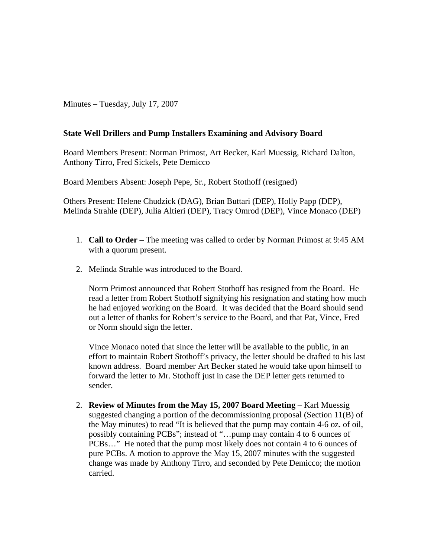Minutes – Tuesday, July 17, 2007

## **State Well Drillers and Pump Installers Examining and Advisory Board**

Board Members Present: Norman Primost, Art Becker, Karl Muessig, Richard Dalton, Anthony Tirro, Fred Sickels, Pete Demicco

Board Members Absent: Joseph Pepe, Sr., Robert Stothoff (resigned)

Others Present: Helene Chudzick (DAG), Brian Buttari (DEP), Holly Papp (DEP), Melinda Strahle (DEP), Julia Altieri (DEP), Tracy Omrod (DEP), Vince Monaco (DEP)

- 1. **Call to Order** The meeting was called to order by Norman Primost at 9:45 AM with a quorum present.
- 2. Melinda Strahle was introduced to the Board.

Norm Primost announced that Robert Stothoff has resigned from the Board. He read a letter from Robert Stothoff signifying his resignation and stating how much he had enjoyed working on the Board. It was decided that the Board should send out a letter of thanks for Robert's service to the Board, and that Pat, Vince, Fred or Norm should sign the letter.

Vince Monaco noted that since the letter will be available to the public, in an effort to maintain Robert Stothoff's privacy, the letter should be drafted to his last known address. Board member Art Becker stated he would take upon himself to forward the letter to Mr. Stothoff just in case the DEP letter gets returned to sender.

2. **Review of Minutes from the May 15, 2007 Board Meeting** – Karl Muessig suggested changing a portion of the decommissioning proposal (Section 11(B) of the May minutes) to read "It is believed that the pump may contain 4-6 oz. of oil, possibly containing PCBs"; instead of "…pump may contain 4 to 6 ounces of PCBs…" He noted that the pump most likely does not contain 4 to 6 ounces of pure PCBs. A motion to approve the May 15, 2007 minutes with the suggested change was made by Anthony Tirro, and seconded by Pete Demicco; the motion carried.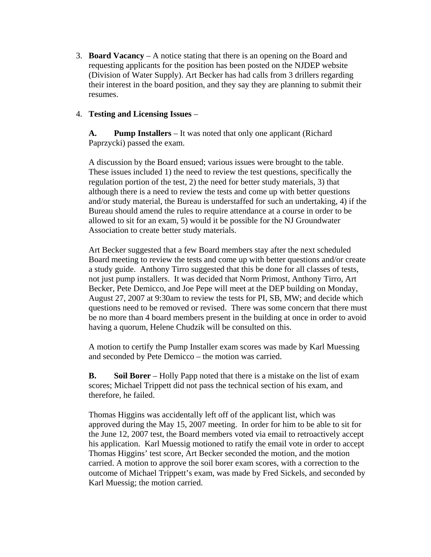3. **Board Vacancy** – A notice stating that there is an opening on the Board and requesting applicants for the position has been posted on the NJDEP website (Division of Water Supply). Art Becker has had calls from 3 drillers regarding their interest in the board position, and they say they are planning to submit their resumes.

## 4. **Testing and Licensing Issues** –

**A. Pump Installers** – It was noted that only one applicant (Richard Paprzycki) passed the exam.

A discussion by the Board ensued; various issues were brought to the table. These issues included 1) the need to review the test questions, specifically the regulation portion of the test, 2) the need for better study materials, 3) that although there is a need to review the tests and come up with better questions and/or study material, the Bureau is understaffed for such an undertaking, 4) if the Bureau should amend the rules to require attendance at a course in order to be allowed to sit for an exam, 5) would it be possible for the NJ Groundwater Association to create better study materials.

Art Becker suggested that a few Board members stay after the next scheduled Board meeting to review the tests and come up with better questions and/or create a study guide. Anthony Tirro suggested that this be done for all classes of tests, not just pump installers. It was decided that Norm Primost, Anthony Tirro, Art Becker, Pete Demicco, and Joe Pepe will meet at the DEP building on Monday, August 27, 2007 at 9:30am to review the tests for PI, SB, MW; and decide which questions need to be removed or revised. There was some concern that there must be no more than 4 board members present in the building at once in order to avoid having a quorum, Helene Chudzik will be consulted on this.

A motion to certify the Pump Installer exam scores was made by Karl Muessing and seconded by Pete Demicco – the motion was carried.

**B. Soil Borer** – Holly Papp noted that there is a mistake on the list of exam scores; Michael Trippett did not pass the technical section of his exam, and therefore, he failed.

Thomas Higgins was accidentally left off of the applicant list, which was approved during the May 15, 2007 meeting. In order for him to be able to sit for the June 12, 2007 test, the Board members voted via email to retroactively accept his application. Karl Muessig motioned to ratify the email vote in order to accept Thomas Higgins' test score, Art Becker seconded the motion, and the motion carried. A motion to approve the soil borer exam scores, with a correction to the outcome of Michael Trippett's exam, was made by Fred Sickels, and seconded by Karl Muessig; the motion carried.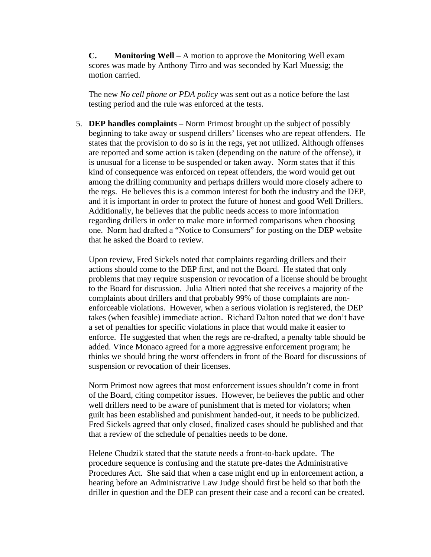**C. Monitoring Well** – A motion to approve the Monitoring Well exam scores was made by Anthony Tirro and was seconded by Karl Muessig; the motion carried.

The new *No cell phone or PDA policy* was sent out as a notice before the last testing period and the rule was enforced at the tests.

5. **DEP handles complaints** – Norm Primost brought up the subject of possibly beginning to take away or suspend drillers' licenses who are repeat offenders. He states that the provision to do so is in the regs, yet not utilized. Although offenses are reported and some action is taken (depending on the nature of the offense), it is unusual for a license to be suspended or taken away. Norm states that if this kind of consequence was enforced on repeat offenders, the word would get out among the drilling community and perhaps drillers would more closely adhere to the regs. He believes this is a common interest for both the industry and the DEP, and it is important in order to protect the future of honest and good Well Drillers. Additionally, he believes that the public needs access to more information regarding drillers in order to make more informed comparisons when choosing one. Norm had drafted a "Notice to Consumers" for posting on the DEP website that he asked the Board to review.

Upon review, Fred Sickels noted that complaints regarding drillers and their actions should come to the DEP first, and not the Board. He stated that only problems that may require suspension or revocation of a license should be brought to the Board for discussion. Julia Altieri noted that she receives a majority of the complaints about drillers and that probably 99% of those complaints are nonenforceable violations. However, when a serious violation is registered, the DEP takes (when feasible) immediate action. Richard Dalton noted that we don't have a set of penalties for specific violations in place that would make it easier to enforce. He suggested that when the regs are re-drafted, a penalty table should be added. Vince Monaco agreed for a more aggressive enforcement program; he thinks we should bring the worst offenders in front of the Board for discussions of suspension or revocation of their licenses.

Norm Primost now agrees that most enforcement issues shouldn't come in front of the Board, citing competitor issues. However, he believes the public and other well drillers need to be aware of punishment that is meted for violators; when guilt has been established and punishment handed-out, it needs to be publicized. Fred Sickels agreed that only closed, finalized cases should be published and that that a review of the schedule of penalties needs to be done.

Helene Chudzik stated that the statute needs a front-to-back update. The procedure sequence is confusing and the statute pre-dates the Administrative Procedures Act. She said that when a case might end up in enforcement action, a hearing before an Administrative Law Judge should first be held so that both the driller in question and the DEP can present their case and a record can be created.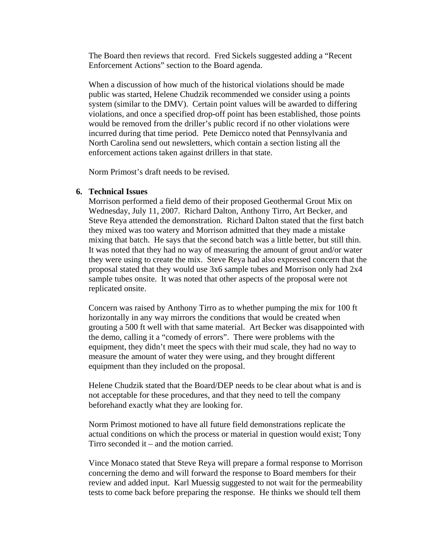The Board then reviews that record. Fred Sickels suggested adding a "Recent Enforcement Actions" section to the Board agenda.

When a discussion of how much of the historical violations should be made public was started, Helene Chudzik recommended we consider using a points system (similar to the DMV). Certain point values will be awarded to differing violations, and once a specified drop-off point has been established, those points would be removed from the driller's public record if no other violations were incurred during that time period. Pete Demicco noted that Pennsylvania and North Carolina send out newsletters, which contain a section listing all the enforcement actions taken against drillers in that state.

Norm Primost's draft needs to be revised.

## **6. Technical Issues**

Morrison performed a field demo of their proposed Geothermal Grout Mix on Wednesday, July 11, 2007. Richard Dalton, Anthony Tirro, Art Becker, and Steve Reya attended the demonstration. Richard Dalton stated that the first batch they mixed was too watery and Morrison admitted that they made a mistake mixing that batch. He says that the second batch was a little better, but still thin. It was noted that they had no way of measuring the amount of grout and/or water they were using to create the mix. Steve Reya had also expressed concern that the proposal stated that they would use 3x6 sample tubes and Morrison only had 2x4 sample tubes onsite. It was noted that other aspects of the proposal were not replicated onsite.

Concern was raised by Anthony Tirro as to whether pumping the mix for 100 ft horizontally in any way mirrors the conditions that would be created when grouting a 500 ft well with that same material. Art Becker was disappointed with the demo, calling it a "comedy of errors". There were problems with the equipment, they didn't meet the specs with their mud scale, they had no way to measure the amount of water they were using, and they brought different equipment than they included on the proposal.

Helene Chudzik stated that the Board/DEP needs to be clear about what is and is not acceptable for these procedures, and that they need to tell the company beforehand exactly what they are looking for.

Norm Primost motioned to have all future field demonstrations replicate the actual conditions on which the process or material in question would exist; Tony Tirro seconded it – and the motion carried.

Vince Monaco stated that Steve Reya will prepare a formal response to Morrison concerning the demo and will forward the response to Board members for their review and added input. Karl Muessig suggested to not wait for the permeability tests to come back before preparing the response. He thinks we should tell them